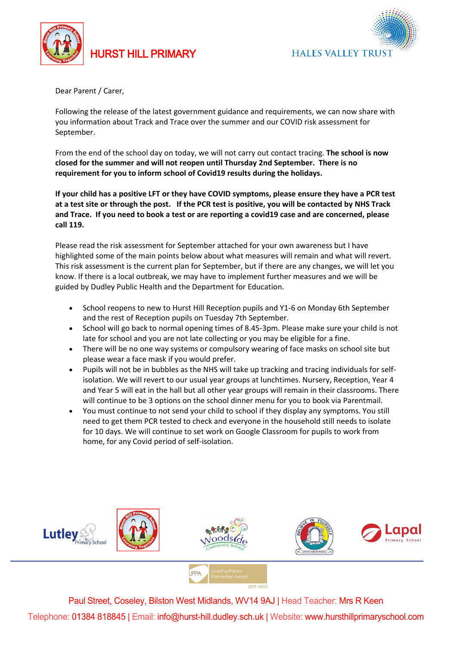

## HURST HILL PRIMARY

**HALES VALLEY TRUST** 

Dear Parent / Carer,

Following the release of the latest government guidance and requirements, we can now share with you information about Track and Trace over the summer and our COVID risk assessment for September.

From the end of the school day on today, we will not carry out contact tracing. **The school is now closed for the summer and will not reopen until Thursday 2nd September. There is no requirement for you to inform school of Covid19 results during the holidays.**

If your child has a positive LFT or they have COVID symptoms, please ensure they have a PCR test at a test site or through the post. If the PCR test is positive, you will be contacted by NHS Track and Trace. If you need to book a test or are reporting a covid19 case and are concerned, please **call 119.**

Please read the risk assessment for September attached for your own awareness but I have highlighted some of the main points below about what measures will remain and what will revert. This risk assessment is the current plan for September, but if there are any changes, we will let you know. If there is a local outbreak, we may have to implement further measures and we will be guided by Dudley Public Health and the Department for Education.

- School reopens to new to Hurst Hill Reception pupils and Y1-6 on Monday 6th September and the rest of Reception pupils on Tuesday 7th September.
- School will go back to normal opening times of 8.45-3pm. Please make sure your child is not late for school and you are not late collecting or you may be eligible for a fine.
- There will be no one way systems or compulsory wearing of face masks on school site but please wear a face mask if you would prefer.
- Pupils will not be in bubbles as the NHS will take up tracking and tracing individuals for selfisolation. We will revert to our usual year groups at lunchtimes. Nursery, Reception, Year 4 and Year 5 will eat in the hall but all other year groups will remain in their classrooms. There will continue to be 3 options on the school dinner menu for you to book via Parentmail.
- You must continue to not send your child to school if they display any symptoms. You still need to get them PCR tested to check and everyone in the household still needs to isolate for 10 days. We will continue to set work on Google Classroom for pupils to work from home, for any Covid period of self-isolation.



Paul Street, Coseley, Bilston West Midlands, WV14 9AJ | Head Teacher: Mrs R Keen Telephone: 01384 818845 | Email: info@hurst-hill.dudley.sch.uk | Website: www.hursthillprimaryschool.com

**I PPA**